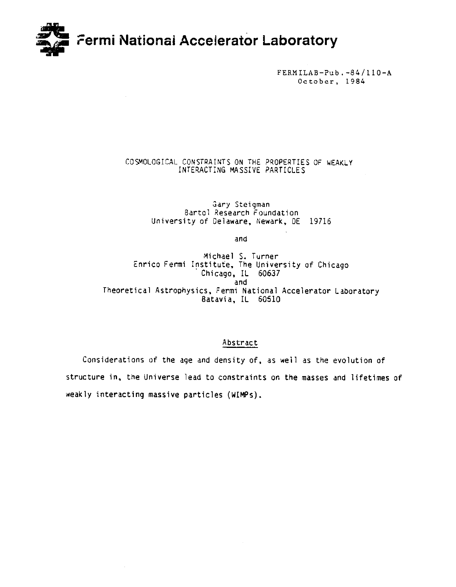

FERMILAB-Pub.-84/110-A October, 1984

# COSMOLOGICAL CONSTRAINTS ON THE PROPERTIES OF WEAKLY INTERACTING MASSIVE PARTICLES

Gary Steigman Bartol Research Foundation University of Delaware, Newark, DE 19716

and

Michael S. Turner Enrico Fermi Institute, The University of Chicago Chicago, IL 60637 and Theoretical Astrophysics, Fermi National Accelerator Laboratory Batavia, IL 60510

# Abstract

Considerations of the age and density of, as weil as the evolution of structure in, the Universe lead to constraints on the masses and lifetimes of weakly interacting massive particles (WIMPS).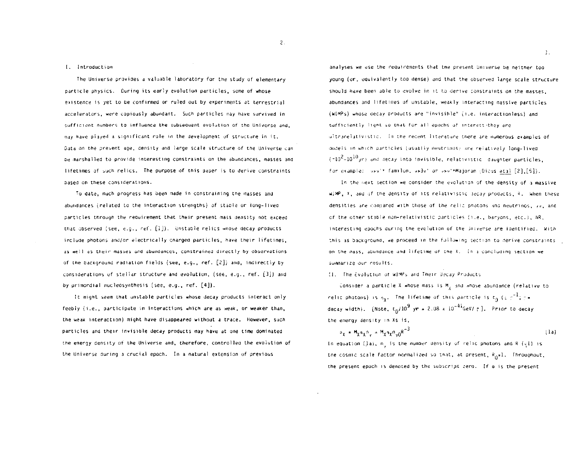## I. Introduction

The Universe provides a valuable laboratory for the study of elementary particle physics. During its early evolution particles, some of whose existence is yet to be confirmed or ruled out by experiments at terrestrial accelerators, were copiously abundant. Such particles may have survived in sufficient numbers to influence the subsequent evolution of the Universe and. may have played a significant role in the development of structure in it. Data on the present age, density and large scale structure of the Universe can be marshalled to provide interesting constraints on the abundances, masses and lifetimes of such relics. The purpose of this paper is to derive constraints based on these considerations.

To date, much progress has been made in constraining the masses and abundances (related to the interaction strengths) of stable or long-lived particles through the requirement that their present mass density not exceed that observed (see, e.g., ref. [1]). Unstable relics whose decay products include photons and/or electrically charged particles, have their lifetimes. as well as their masses and abundances, constrained directly by observations of the background radiation fields (see, e.g., ref. [2]) and, indirectly by considerations of stellar structure and evolution, (see, e.g., ref. [3]) and by primordial nucleosynthesis (see, e.g., ref. [4]).

It might seem that unstable particles whose decay products interact only feebly (i.e., participate in interactions which are as weak, or weaker than, the weak interaction) might have disappeared without a trace. However, such particles and their invisible decay products may have at one time dominated the energy density of the Universe and, therefore, controlled the evolution of the Universe during a crucial epoch. In a natural extension of previous

analyses we use the requirements that the present Universe be neither too young (or, equivalently too dense) and that the observed large scale structure should have been able to evolve in it to derive constraints on the masses. abundances and lifetimes of unstable, weakly interacting massive particles (WIMPs) whose decay products are "invisible" (i.e. interactionless) and sufficiently light so that for all epochs of interest they are ultranelativistic. In the recent literature there are numerous examples of nodels in which particles (usually neutrinos; are relatively long-lived  $(-10^2-10^{10}$ yr) and decay into invisible, relativistic daughter particles. for example: v>v'\* familon, v>3v' or v>v'\*Majoran (Dicus etal [2], [5]).

In the next section we consider the evolution of the density of a massive WIMP, X, and of the density of its relativistic decay products, R. When these densities are compared with those of the relia photons and neutrinos, yv, and of the other stable non-relativistic particles (i.e., baryons, etc.), NR. interesting epochs during the evolution of the Jniverse are identified. With this as background, we proceed in the following section to derive constraints on the mass, abundance and lifetime of the X. In a concluding section we summarize our results.

## II. The Evolution of WIMPs and Their Decay Products

Consider a particle X whose mass is M, and whose abundance (relative to relic photons) is  $n_x$ . The lifetime of this particle is  $t_0$  (s  $r^{-1}$ )  $r =$ decay width). [Note,  $t_0/10^9$  yr = 2.08 x 10<sup>-41</sup>GeV/ r]. Prior to decay the energy density in Xs is,

$$
\rho_{\chi} = M_{\chi} n_{\chi} n_{\gamma} = M_{\chi} n_{\chi} n_{\gamma 0} R^{-3}
$$
 (1a)

In equation (la),  $n_y$  is the number density of relic photons and R ( $\zeta$ 1) is the cosmic scale factor normalized so that, at present,  $R_n = 1$ . Throughout, the present epoch is denoted by the subscript zero. If  $\theta$  is the present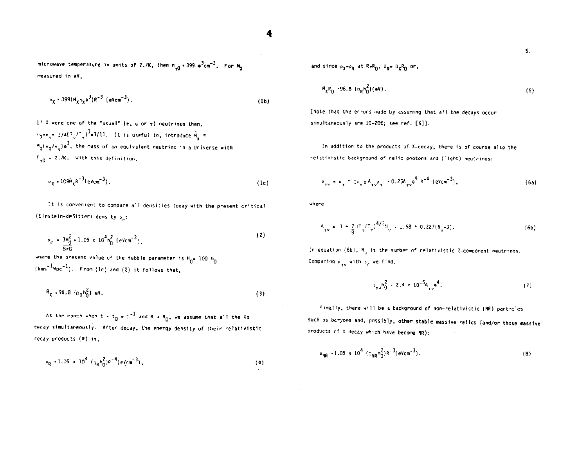4

 $\sim 10^{-1}$ 

 $\sim 10^7$ 

microwave temperature in units of 2.7K, then  $n_{y0}$  = 399  $e^{3}$ cm<sup>-3</sup>. For  $M_{y}$ measured in eV.

$$
\rho_{\chi} = 399 (M_{\chi} n_{\chi} e^{3}) R^{-3} (eV cm^{-3}).
$$
 (1b)

If X were one of the "usual" (e,  $\mu$  or  $\tau$ ) neutrinos then.  $n_{\chi} = n_{\chi} = 3/4 (T_{\psi}/T_{\psi})^3 = 3/11$ . It is useful to, introduce  $\tilde{M}_{\psi} \equiv$  $M_{\gamma}(\eta_{\gamma}/\eta_{\omega})e^{3}$ , the mass of an equivalent neutrino in a Universe with  $T_{y0} = 2.7K$ . With this definition,

$$
\sigma_{\chi} \sim 109 \text{M}_\chi \text{R}^{-3} (\text{eVcm}^{-3}). \tag{1c}
$$

It is convenient to compare all densities today with the present critical (Einstein-deSitter) density  $\rho_{\mu}$ :

$$
P_{\rm c} = \frac{3H_0^2}{\frac{1}{2}m} \cdot 1.05 \times 10^4 h_0^2 \left( \text{eV cm}^{-3} \right), \tag{2}
$$

where the present value of the Hubble parameter is  $H_0 = 100 h_0$  $(kms^{-1}Mpc^{-1})$ . From (1c) and (2) it follows that,

$$
R_{\chi} \cdot 96.8 \, (\Omega_{\chi} h_0^2) \, \text{eV} \,. \tag{3}
$$

At the epoch when t =  $t_0$  =  $r^{-1}$  and R =  $R_0$ , we assume that all the Xs decay simultaneously. After decay, the energy density of their relativistic decay products (R) is,

$$
\rho_R \sim 1.05 \times 10^4 \left( \rho_R h_0^2 \right) R^{-4} (eV cm^{-3}), \tag{4}
$$

 $5.$ 

and since  $\rho_X = \rho_R$  at  $R = R_0$ ,  $\Omega_R = \Omega_X R_0$  or.

$$
M_X R_0 \to 96.8 \, (n_R n_0^2)(eV). \tag{5}
$$

[Note that the errors made by assuming that all the decays occur simultaneously are 10-20%; see ref. [6]].

In addition to the products of X-decay, there is of course also the relativistic background of relic photons and (light) neutrings:

$$
P_{\gamma\upsilon} = P_{\gamma} + \sigma_{\upsilon} \pm A_{\gamma\upsilon} P_{\gamma} - 0.25A_{\gamma\upsilon} \frac{4}{\pi} R^{-4} (\text{eV cm}^{-3}), \qquad (6a)
$$

where

$$
A_{\gamma\gamma} = 1 + \frac{7}{9} \left( T_{\gamma} / T_{\gamma} \right)^{4/3} N_{\gamma} = 1.68 + 0.227 (N_{\gamma} - 3). \tag{6b}
$$

In equation (6b),  $N_{\alpha}$  is the number of relativistic 2-component neutrinos. Comparing  $\rho_{\gamma\upsilon}$  with  $\rho_c$  we find,

$$
a_{\gamma\sigma}h_0^2 + 2.4 \times 10^{-5}A_{\gamma\sigma}e^4. \tag{7}
$$

Finally, there will be a background of non-relativistic (NR) particles such as baryons and, possibly, other stable massive relics (and/or those massive products of X decay which have become NR):

$$
\rho_{\rm NR} \sim 1.05 \times 10^4 \left( \rho_{\rm NR} h_0^2 \right) R^{-3} (eV cm^{-3}). \tag{8}
$$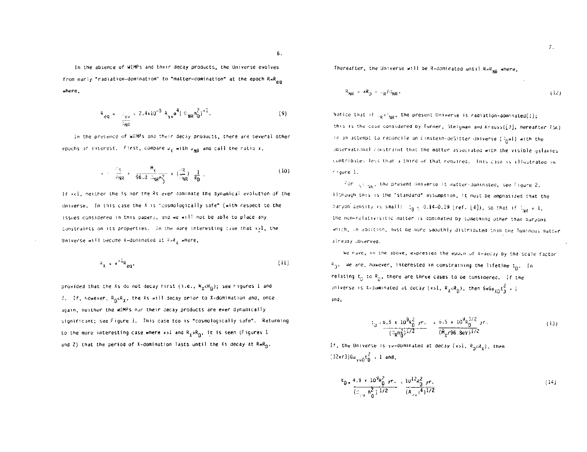In the absence of WIMPs and their decay products, the Universe evolves from early "radiation-domination" to "matter-domination" at the epoch R=R<sub>on</sub> where.

$$
R_{eq} = \frac{1}{2\pi r} \approx 2.4 \times 10^{-5} A_{\gamma\sigma} e^{4} (\Omega_{\text{NR}} n_0^2)^{-1}.
$$
 (9)

In the presence of WIMPs and their decay products, there are several other epochs of interest. First, compare  $\rho_{\gamma}$  with  $\rho_{\text{NR}}$  and call the ratio x,

$$
k = \frac{2\chi}{2NR} = \frac{M_X}{96.3 \cdot 100^2} = (\frac{4R}{NR}) \frac{1}{R_D} \tag{10}
$$

If x<1, neither the Xs nor the Rs ever dominate the dynamical evolution of the Universe. In this case the X is "cosmologically safe" (with respect to the issues considered in this paper), and we will not be able to place any constraints on its properties. In the more interesting cuse that x21, the Universe will become X-dominated at  $\mathbb{R}^2$  where,

$$
R_{\chi} = x^{-1} R_{eq}, \qquad (11)
$$

provided that the Xs do not decay first (i.e., R<sub>x</sub><R<sub>n</sub>); see Figures 1 and 2. If, nowever,  $R_{\text{B}} \triangle R_{\text{X}}$ , the Xs will decay prior to X-domination and, once again, neither the WIMPs nor their decay products are ever dynamically significant; see Figure 3. This case too is "cosmologically safe". Returning to the more interesting case where x>1 and  $R_{\chi}$ > $R_{01}$  it is seen (Figures 1 and 2) that the period of X-domination lasts until the Xs decay at R=R<sub>n</sub>.

Thereafter, the Universe will be R-dominated until  $R=R_{ND}$  where,

$$
R_{NR} = \kappa R_D = \mu_R / \mu_{NR} \tag{12}
$$

Notice that if  $\mathbb{Q}_Q > \mathbb{Q}_{\mathbb{N}Q}$ , the present Universe is radiation-dominated(!); this is the case considered by Turner, Steigman and Krauss([7], hereafter TSK) in an attempt to recondile an Einstein-deSitter Universe (3p=1) with the observational constraint that the matter associated with the visible galaxies contributes less than a third of that required. This case is illustrated in Figure 1.

for  $\sqrt{s_{\text{max}}}$ , the present Bniverse is matter-dominated; see Figure 2, Although this is the "standard" assumption, it must be emphasized that the panyon density is small:  $z_B \le 0.14-0.19$  (ref. [4]), so that if  $z_{\text{tot}} = 1$ , the non-relativisitic matter is dominated by something other than baryons which, in addition, nust be some smoothly distributed than the luminous matter already observed.

We nave, in the above, expressed the epoch of X-decay by the scale factor  $R_0$ . We are, nowever, interested in constraining the lifetime  $t_n$ . In relating  $t_0$  to  $R_0$ , there are three cases to be considered. If the Universe is X-dominated at decay (x>1,  $R_X < R_0$ ), then  $6\pi G_{P10}t_0^2 + 1$ and.

$$
t_{ij} = \frac{6.5 \times 10^{9} a_{0}^{2} \text{ yr}}{(3 \text{ g} \cdot \text{m}^{2})^{1/2}} = \frac{6.5 \times 10^{9} a_{0}^{3/2} \text{ yr}}{(M_{\chi}/96.3 \text{ eV})^{1/2}} \tag{13}
$$

If, the Universe is yv-dominated at decay (x>1,  $R_p < R_y$ ), then  $(32\pi/3)$ Go<sub>vin</sub>t<sub>n</sub><sup>2</sup> = 1 and,

$$
\frac{t_0}{(z_{\gamma_0} n_0^2)^{1/2}} \frac{10^3 R_0^2 \text{ yr}}{(a_{\gamma_0} n_0^3)^{1/2}} \frac{10^{12} R_0^2 \text{ yr}}{(a_{\gamma_0} n^4)^{1/2}} \tag{14}
$$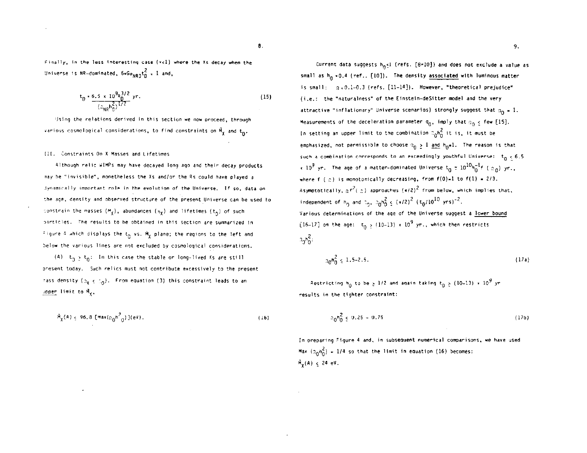Finally, in the less interesting case (x<1) where the Xs decay when the Universe is NR-dominated,  $6*6\sigma_{NRD}t_D^2$  = 1 and,

$$
t_0 \approx \frac{6.5 \times 10^9 \text{R}_0^{3/2}}{(a_{\text{NR}} r_0^2)^{1/2}} \text{ yr.}
$$
 (15)

Using the relations derived in this section we now proceed, through various cosmological considerations, to find constraints on  $\tilde{M}_{y}$  and  $t_{0}$ .

#### III. Constraints On X Masses and Lifetimes

Although relic WIMPs may have decayed long ago and their decay products may be "invisible", nonetheless the Xs and/or the Rs could have played a Jynamically important role in the evolution of the Universe. If so, data on the age, density and observed structure of the present Universe can be used to constrain the masses  $(M_x)$ , abundances  $(n_y)$  and lifetimes  $(t_0)$  of such particles. The results to be obtained in this section are summarized in Figure 4 which displays the t<sub>n</sub> vs. M<sub>y</sub> plane; the regions to the left and below the various lines are not excluded by cosmological considerations.

(A)  $t_n > t_0$ : In this case the stable or long-lived Xs are still present today. Such relics must not contribute excessively to the present rass density  $(z_{\text{Y}} \leq z_{0})$ . From equation (3) this constraint leads to an upper limit to My.

$$
\tilde{M}_{\chi}(A) \leq 96.8 \left[ \text{Max}(\Omega_0 h^2) \right] (\text{eV}).
$$

 $(16)$ 

₿.

Current data suggests  $h_0 \leq 1$  (refs. [8=10]) and does not exclude a value as small as  $h_0 \sim 0.4$  (ref.. [10]). The density associated with luminous matter is small:  $g = 0.1-0.3$  (refs. [11-14]). However, "theoretical prejudice" (i.e.: the "naturalness" of the Einstein-deSitter model and the very attractive "inflationary" Universe scenarios) strongly suggest that  $a_0 = 1$ . Measurements of the deceleration parameter  $q_0$ , imply that  $q_0 \nleq f$ ew [15]. In setting an upper limit to the combination  $n_0 n_0^2$  it is, it must be emphasized, not permissible to choose  $n_0 > 1$  and  $h_0 = 1$ . The reason is that such a combination corresponds to an exceedingly youthful Universe:  $t_0 < 6.5$  $\cdot$  10<sup>9</sup> yr. The age of a matter-dominated Universe  $t_0 \approx 10^{10} h_0^{-1} f$  (  $\epsilon_{0}$  ) yr., where  $f(\circledcirc)$  is monotonically decreasing, from  $f(0)=1$  to  $f(1)=2/3$ . Asymptotically,  $\pi^{2}$ ( $z$ ) approaches ( $\pi/2$ )<sup>2</sup> from below, which implies that, independent of  $h_0$  and  $2\pi$ ,  $2nh_0^2 \le (1/2)^2 (t_0/10^{10} \text{ yrs})^{-2}$ . Various determinations of the age of the Universe suggest a lower bound [16-17] on the age:  $t_0 \ge (10-13) \times 10^9$  yr., which then restricts  $20h_0^2$ :

$$
a_0 n_0^2 \le 1.5-2.5. \tag{17a}
$$

Restricting  $h_0$  to be > 1/2 and again taking  $t_0$  > (10-13) x 10<sup>9</sup> yr results in the tighter constraint:

$$
n_0 n_0^2 \leq 0.25 - 0.75 \tag{17b}
$$

In preparing Figure 4 and, in subsequent numerical comparisons, we have used Max  $(a_0h_0^2) = 1/4$  so that the limit in equation (16) becomes:  $M_v(A) \leq 24$  eV.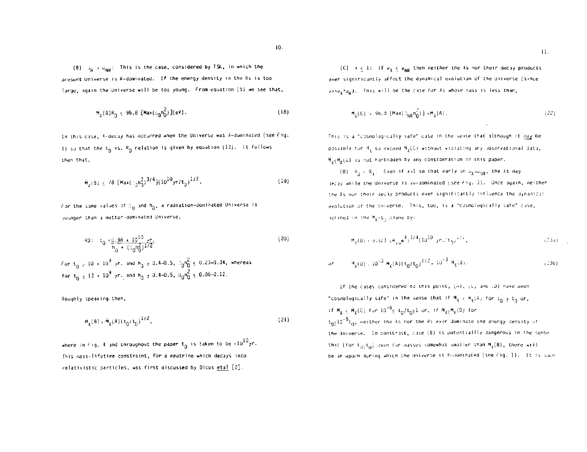(8)  $u_0 > u_{\text{MP}}$ : This is the case, considered by TSK, in which the present Universe is R-dominated. If the energy density in the Rs is too large, again the Universe will be too young. From equation (5) we see that,

$$
\tilde{M}_{\chi}(B)R_{0} \le 96.8 \text{ [Max}(\mathfrak{U}_{0}h_{0}^{2})](eV). \tag{18}
$$

In this case, X-decay has occurred when the Universe was X-dominated (see Fig. 1) so that the t<sub>D</sub> vs.  $R_{\text{B}}$  relation is given by equation (13). It follows then that.

$$
\tilde{M}_{\chi}(B) \leq 78 \left[ \text{Max}(\text{C}_0 \text{m}_0^2)^{3/4} \right] \left( 10^{10} \text{yr}/\text{t}_0 \right)^{1/2}. \tag{19}
$$

For the same values of  $\varepsilon_0$  and  $h_0$ , a radiation-dominated Universe is younger than a matter-dominated Universe,

80: 
$$
t_0 \times \frac{0.98 \times 10^{10} \text{ yr}}{h_0 + (\frac{0.08}{0})^{1/2}}
$$
 (20)  
For  $t_0 \ge 10 \times 10^9$  yr, and  $h_0 \ge 0.4-0.5$ ,  $\frac{0.08}{0.0} \times \frac{0.23-0.34}{0.62}$ , where as  
for  $t_0 \ge 13 \times 10^9$  yr, and  $h_0 \ge 0.4-0.5$ ,  $\frac{0.08}{0.0} \le 0.06-0.12$ .

Roughly speaking then,

$$
\tilde{M}_{\chi}(B) = \tilde{M}_{\chi}(A) (t_0/t_0)^{1/2},
$$
\n(21)

where in Fig. 4 and throughout the paper  $t_0$  is taken to be  $+10^{10}yr$ . This mass-lifetime constraint, for a neutrino which decays into relativistic particles, was first discussed by Dicus etal [2].

(C)  $x \le 1$ : If  $\rho_X \le \rho_{NR}$  then neither the Xs nor their decay products ever significantly affect the dynamical evolution of the Universe (since p>>py+pol. This will be the case for Xs whose mass is less than,

$$
M_{\chi}(C) = 96.8 \left[ Max(\partial_{NR} n_0^2) \right] + M_{\chi}(A). \qquad (22)
$$

This is a "cosmologically safe" case in the sense that although it hay be possible for  $M_{\chi}$  to exceed  $\tilde{M}_{\chi}(0)$  without violating any observational data, MukMu(C) is not forbidden by any consideration in this paper.

(0)  $A_0 < R_1$ : Even if xol so that early un pyopp, the Xs may Jecay while the Universe is yv-dominated (see Fig. 3). Once again, neither the Xs nor their decay products ever significantly influence the dynamical evolution of the Universe. This, too, is a "cosmologically safe" cuse, ierined in the M<sub>x</sub>-t<sub>h</sub> plane by:

$$
\mathbf{M}_{\xi}(0) + 0.023 \mathbf{A}_{\xi,0} \mathbf{a}_{\xi}^4 \mathbf{a}_{\xi}^{3/4} (10^{10} \gamma r_+ / t_0)^{1/2}, \qquad (23a)
$$

or 
$$
W_{\lambda}(0) = 10^{-3} M_{\lambda}(A) (t_0/t_0)^{1/2} + 10^{-3} M_{\chi}(B)
$$
 (336)

Of the cases considered to this point, (A), (U) and (D) have been "cosmologically safe" in the sense that if  $M_{\chi}$   $\in$   $M_{\chi}(A)$  for  $t_0 \ge t_0$  or, if  $M_\chi \leq M_\chi(C)$  for  $10^{-6}$ s t<sub>0</sub>/t<sub>0</sub>s1 or, if  $M_{\chi \geq M_\chi}(0)$  for  $t_0 < 10^{-6} t_0$ , neither the Xs nor the Rs ever dominate the energy density of the Universe. In constrast, case (B) is potentiallly dangerous in the sense that (for  $t_{10}(t_0)$  even for masses somewhat smaller than  $M_k(B)$ , there will be an epoch during which the Universe is R-dominated (see Fig. 1). It is such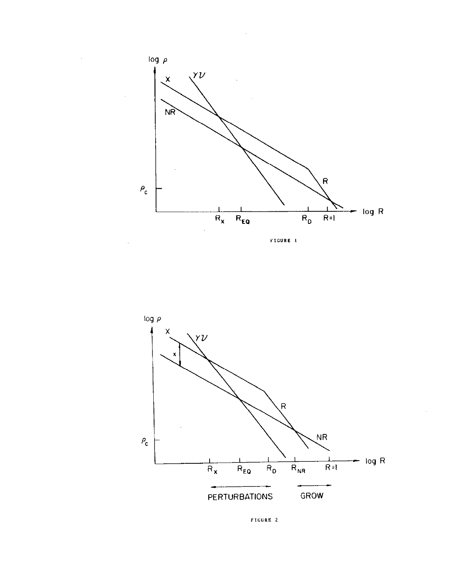



FIGURE 2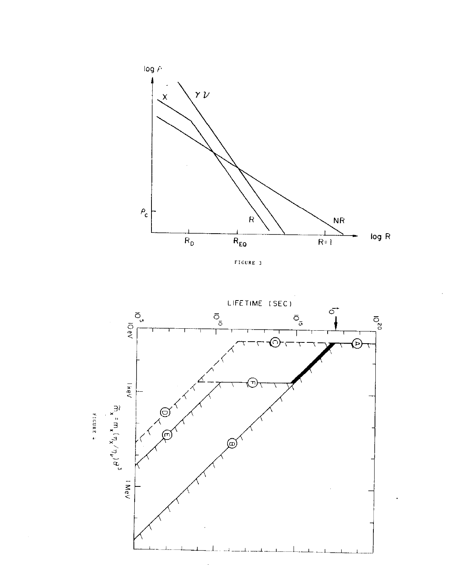

FIGURE 3

![](_page_7_Figure_2.jpeg)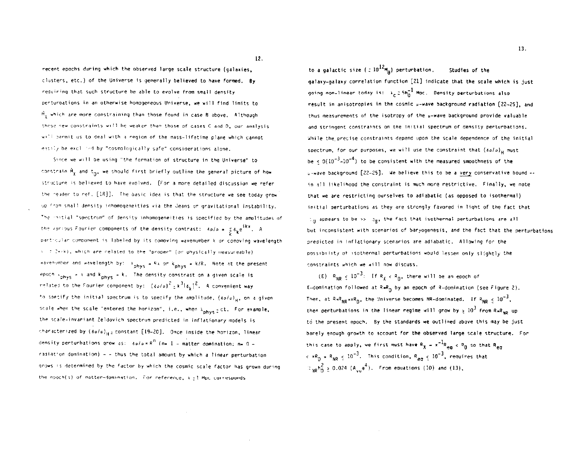recent epochs during which the observed large scale structure (galaxies, clusters, etc.) of the Universe is generally believed to have formed. By requiring that such structure be able to evolve from small density perturbations in an otherwise homogeneous Universe, we will find limits to  $\tilde{M}_{\nu}$  which are more constraining than those found in case B above. Although these new constraints will be weaker than those of cases C and D, our analysis will permit us to deal with a region of the mass-lifetime plane which cannot easily be excl. Hed by "cosmologically safe" considerations alone.

Since we will be using "the formation of structure in the Universe" to constrain My and t<sub>m</sub>, we should first briefly outline the general picture of how structure is believed to have evolved. [For a more detailed discussion we refer the reader to ref. [18]]. The basic idea is that the structure we see today grew up from small density inhomogeneities via the Jeans or gravitational instability. The initial "spectrum" of density inhomogeneities is specified by the amplitudes of the various Fourier components of the density contrast:  $\delta \rho / \rho \propto \frac{1}{L} \delta_{\gamma} e^{i kx}$ . A particular component is labeled by its comoving wavenumber k or comoving wavelength 3 : 2+/k), which are related to the "proper" (or physically measureable) wavenumber and wavelength by: A phys = RA or K phys = k/R. Note at the present epoch  $s_{phys} = 3$  and  $k_{phys} = k$ . The density constrast on a given scale is related to the Fourier component by:  $(\delta \phi/\rho)^2 \pm k^3 |\delta_{\nu}|^2$ . A convenient way to specify the initial spectrum is to specify the amplitude, (solo)... on a given scale when the scale "entered the borizon", i.e., when Anhue 20t. For example, the scale-invariant Zeldovich spectrum predicted in inflationary models is characterized by  $(80/a)_{H^2}$  constant [19-20]. Once inside the horizon, linear density perturbations grow as:  $\delta\rho/\rho \propto R^{n}$  (n= 1 - matter domination: n= 0 radiation domination) - - thus the total amount by which a linear perturbation grows is determined by the factor by which the cosmic scale factor has grown during the epoch(s) of matter-domination. For reference,  $x \pm 1$  Mpc corresponds

to a galactic size ( $\approx 10^{12}$ M<sub>n</sub>) perturbation. Studies of the galaxy-galaxy correlation function [21] indicate that the scale which is just going non-linear today is:  $\lambda_c \ge 5n_0^{-1}$  Mpc. Density perturbations also result in anisotropies in the cosmic u-wave background radiation [22-25], and thus measurements of the isotropy of the  $u$ -wave background provide valuable and stringent constraints on the initial spectrum of density perturbations. While the precise constraints depend upon the scale dependence of the initial spectrum, for our purposes, we will use the constraint that  $(s_o / o)_{\text{H}}$  must be <  $0(10^{-3} - 10^{-4})$  to be consistent with the measured smoothness of the u-wave background [22-25]. We believe this to be a very conservative bound -in all likelihood the constraint is much more restrictive. Finally, we note that we are restricting ourselves to adiabatic (as opposed to isothermal) initial perturbations as they are strongly favored in light of the fact that  $z_0$  appears to be  $z_2$ ,  $z_0$ , the fact that isothermal perturbations are all but inconsistent with scenarios of baryogenesis, and the fact that the perturbations predicted in inflationary scenarios are adiabatic. Allowing for the possibility of isothermal perturbations would lessen only slightly the constraints which we will now discuss.

(E)  $R_{ND} < 10^{-3}$ : If  $R_{Y} < R_{D}$ , there will be an epoch of X-domination followed at  $R = R_0$  by an epoch of R-domination (see Figure 2). Then, at  $RaR_{NO} \propto R_{D}$ , the Universe becomes NR-dominated. If  $R_{ND} < 10^{-3}$ , then perturbations in the linear regime will grow by  $\frac{1}{2}$  10<sup>3</sup> from R=R<sub>ND</sub> up to the present epoch. By the standards we outlined above this may be just barely enough growth to account for the observed large scale structure. For this case to apply, we first must have  $R_y = x^{-1}R_{aa} < R_0$  so that  $R_{aa}$  $\langle R_{\text{D}} = R_{\text{MP}} \rangle \le 10^{-3}$ . This condition,  $R_{\text{an}} \le 10^{-3}$ , requires that  $\frac{1}{2}$  so  $\frac{1}{2}$  2, 0.024 (A<sub>si, 9</sub><sup>4</sup>). From equations (10) and (13),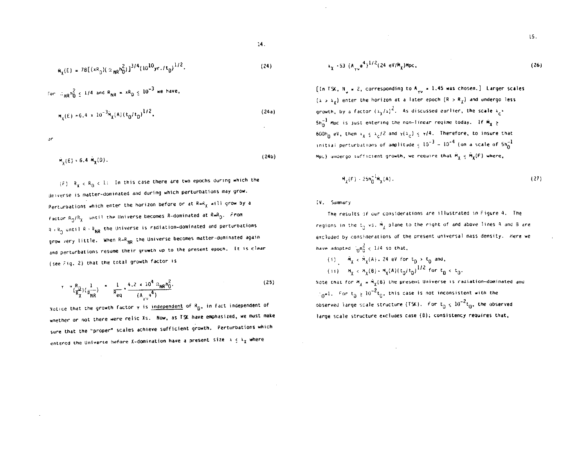$$
\tilde{m}_{\chi}(E) = 78[(xR_{D})(\alpha_{MR}R_{D}^{2})]^{3/4}(\Gamma_{D}^{10}yr_{*}/t_{D})^{1/2}.
$$
 (24)

For 
$$
lim_{NR} n_0^2 \le 1/4
$$
 and  $R_{NR} = xR_0 \le 10^{-3}$  we have,  

$$
M_{\gamma}(E) = 6.4 \times 10^{-3} \dot{M}_{\chi}(A) (t_0/t_0)^{1/2}.
$$

$$
\mathsf{a}\mathsf{r}
$$

 $(24b)$  $M_Y(E) = 6.4 M_Y(D)$ .

 $(F)$   $R_X < R_0 < 1$ : In this case there are two epochs during which the Universe is matter-dominated and during which perturbations may grow. Perturbations which enter the horizon before or at  $R = R_X$  will grow by a factor  $R_0/R_{\chi}$  until the Universe becomes R-dominated at  $R=R_0$ . From  $3 \cdot 3$  until R = R<sub>NR</sub> the Universe is radiation-dominated and perturbations grow very little. When R=R<sub>NR</sub> the Universe becomes matter-dominated again and perturbations resume their growth up to the present epoch. It is clear (see Fig. 2) that the total growth factor is

$$
\tau = \frac{R_0}{(\frac{D}{R_X})} \left( \frac{1}{R_{NR}} \right) = \frac{1}{R_{eq}} = \frac{4.2 \times 10^4 \Omega_{NR} n_0^2}{(A_{eq} n_0^4)}.
$$
 (25)

Notice that the growth factor  $\gamma$  is independent of  $R_{D\gamma}$  in fact independent of whether or not there were relic Xs. Now, as TSK have emphasized, we must make sure that the "proper" scales achieve sufficient growth. Perturbations which entered the Universe before X-domination have a present size  $\lambda \leq \lambda_{\chi}$  where

$$
\lambda_{\chi} \cdot 53 \ (A_{\gamma \nu} e^{4})^{1/2} (24 \ eV/M_{\chi}) Mpc, \qquad (26)
$$

[In TSK, N<sub>3</sub> = 2, corresponding to A<sub>yy</sub> = 1.45 was chosen.] Larger scales  $(\lambda > \lambda_{\chi})$  enter the horizon at a later epoch  $(R > R_{\chi})$  and undergo less growth, by a factor  $(x_x/x)^2$ . As discussed earlier, the scale  $x_c$ <sup>2</sup>  $5h_0^{-1}$  Mpc is just entering the non-linear regime today. If  $\tilde{M}_x >$ 600h<sub>0</sub> eV, then  $\lambda_X \leq \lambda_C I^2$  and  $\gamma(\lambda_C) \leq \gamma I^4$ . Therefore, to insure that initial perturbations of amplitude  $\zeta$  10<sup>-3</sup> - 10<sup>-4</sup> (on a scale of 5h<sub>0</sub><sup>-1</sup> Mpc) undergo sufficient growth, we require that  $\tilde{H}_\chi \leq \tilde{H}_\chi(F)$  where,

$$
M_{\chi}(F) \sim 25n_0^{-1}M_{\chi}(A). \tag{27}
$$

# IV. Summary

The results of our considerations are illustrated in Figure 4. The regions in the  $t_n$  vs.  $\tilde{M}_\ell$  plane to the right of and above lines A and B are excluded by considerations of the present universal mass density. Here we have adopted  $\frac{2}{10}n_0^2 < 1/4$  so that.

(i) 
$$
\tilde{m}_{\chi} < \tilde{m}_{\chi}(A) = 24 \text{ eV}
$$
 for  $t_B > t_0$  and,  
(ii)  $m_{\chi} < m_{\chi}(B) = m_{\chi}(A)(t_0/t_0)^{1/2}$  for  $t_0 < t_0$ 

Note that for  $M_{\ell} = \tilde{M}_{\gamma}(\beta)$  the present Universe is radiation-dominated and  $\log_{0} 1.$  For  $t_{0} \ge 10^{-2} t_{0}$ , this case is not inconsistent with the observed large scale structure (TSK). For  $t_0 \leq 10^{-2} t_0$ , the observed large scale structure excludes case (8); consistency requires that,

 $(24a)$ 

 $15 -$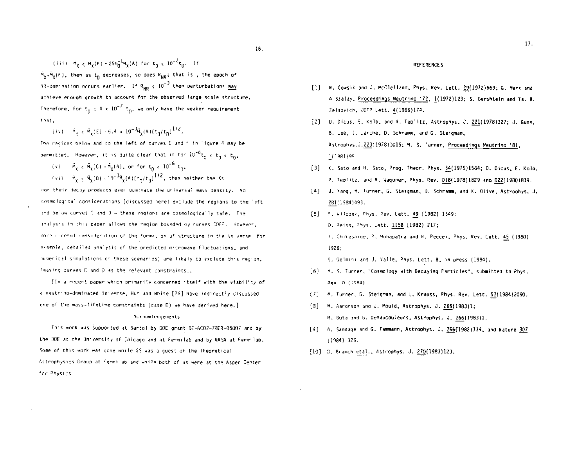(iii)  $\tilde{M}_v \leq \tilde{M}_v(F) - 25h_0^{-1}M_v(A)$  for  $t_0 \leq 10^{-2}t_0$ . If  $\tilde{M}_{\chi}$  = $\tilde{M}_{\chi}(F)$ , then as  $t_{\Omega}$  decreases, so does  $R_{NR}$ ; that is , the epoch of NR-domination occurs earlier. If  $R_{\text{NP}} \leq 10^{-3}$  then perturbations may achieve enough growth to account for the observed large scale structure. Therefore, for  $t_n < 4 \times 10^{-7} t_n$ , we only have the weaker requirement that.

(iv)  $\dot{M}_y \times \dot{M}_x(E) \approx 6.4 \times 10^{-3} \dot{M}_x(A) (t_0/t_0)^{1/2}$ .

The regions below and to the left of curves E and F in Figure 4 may be permitted. However, it is quite clear that if for  $10^{-6}t_0 \le t_0 \le t_0$ ,

- (v)  $\tilde{M}_x \leq \tilde{M}_x(0) = \tilde{M}_x(4)$ , or for  $t_0 \leq 10^{-6} t_0$ .
- $(vi) = \tilde{A}_i < \tilde{A}_i(0) \cdot 10^{-3} \tilde{A}_i(A) (t_0/t_0)^{1/2}$ , then neither the Xs

nor their decay products ever dominate the universal mass density. No cosmological considerations (discussed here) exclude the regions to the left and below curves  $\complement$  and  $D -$  these regions are cosmologically safe. The analysis in this paper allows the region bounded by curves CDEF. However, more careful consideration of the formation of structure in the Universe .for example, detailed analysis of the predicted microwave fluctuations, and numerical simulations of these scenarios) are likely to exclude this region. leaving curves C and D as the relevant constraints...

[In a recent paper which primarily concerned itself with the viability of a neutrino-dominated Universe, Hut and White [26] have indirectly discussed one of the mass-lifetime constraints (case E) we have derived here.]

#### **Acknowledgements**

This work was supported at Bartol by DOE grant DE-ACO2-78ER-05007 and by the DOE at the University of Chicago and at Fermilab and by NASA at Fermilab. Some of this work was done while GS was a guest of the Theoretical Astrophysics Group at Fermilab and while both of us were at the Aspen Center for Physics.

#### **REFERENCES**

- [1] R. Cowsik and J. McClelland, Phys. Rev. Lett. 29(1972)669: G. Marx and A Szalay, Proceedings Neutrino '72, 1(1972)123; S. Gershtein and Ya. B. Zeldovich, JETP Lett, 4(1966)174.
- [2] D. Dicus, E. Kolb, and V. Teplitz, Astrophys. J. 221(1978)327; J. Gunn, B. Lee, i. Lerche, D. Schramm, and G. Steigman, Astrophys.J.223(1978)1015; M. S. Turner, Proceedings Neutrino '81,  $1(1981)95.$
- [3] K. Sato and H. Sato, Prog. Theor. Phys. 54(1975)1564; D. Dicus, E. Kolb. V. Teplitz, and R. Wagoner, Phys. Rev. D18(1978)1829 and D22(1980)839.
- [4] J. Yang, M. Turner, G. Steigman, D. Schramm, and K. Olive, Astrophys, J. 281(1984)493.
- [5] F. Wilczek, Phys. Rev. Lett. 49 (1982) 1549; D. Reiss, Phys. Lett. 115B (1982) 217: f. Chikashine, R. Mohapatra and R. Peccei, Phys. Rev. Lett. 45 (1980) 1926:

G. Gelmini and J. Valle, Phys. Lett. B. in oress (1984).

- [6] M. S. Turner, "Cosmology with Decaying Particles", submitted to Phys. Rev. 0.(1984)
- M. Turner, G. Steigman, and L. Krauss, Phys. Rev. Lett. 52(1984)2090.  $\lceil 71 \rceil$
- fal i M. Aaronson and J. Mould, Astrophys. J. 265(1983)1; R. Buta and G. DeVaucouleurs, Astrophys. J. 266(1983)1.
- [9] A. Sandage and G. Tammann, Astrophys. J. 256(1982)339, and Nature 307  $(1984)$  326.
- [10] 0. Branch etal., Astrophys. J. 270(1983)123.